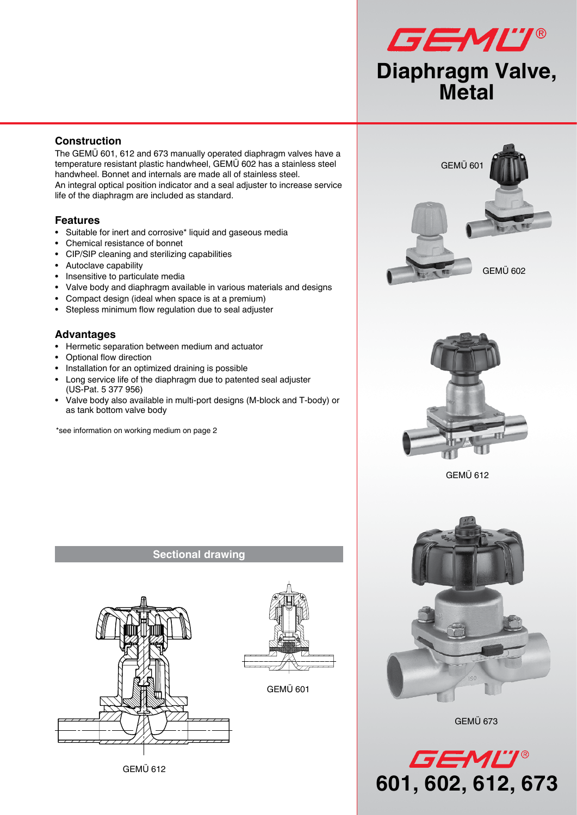

## **Construction**

The GEMÜ 601, 612 and 673 manually operated diaphragm valves have a temperature resistant plastic handwheel, GEMÜ 602 has a stainless steel handwheel. Bonnet and internals are made all of stainless steel. An integral optical position indicator and a seal adjuster to increase service life of the diaphragm are included as standard.

#### **Features**

- Suitable for inert and corrosive\* liquid and gaseous media
- Chemical resistance of bonnet
- CIP/SIP cleaning and sterilizing capabilities
- Autoclave capability
- Insensitive to particulate media
- Valve body and diaphragm available in various materials and designs
- Compact design (ideal when space is at a premium)
- Stepless minimum flow regulation due to seal adjuster

#### **Advantages**

- Hermetic separation between medium and actuator
- Optional flow direction
- Installation for an optimized draining is possible
- Long service life of the diaphragm due to patented seal adjuster (US-Pat. 5 377 956)
- Valve body also available in multi-port designs (M-block and T-body) or as tank bottom valve body

\*see information on working medium on page 2



GEMÜ 612





GEMÜ 612



GEMÜ 673



#### **Sectional drawing**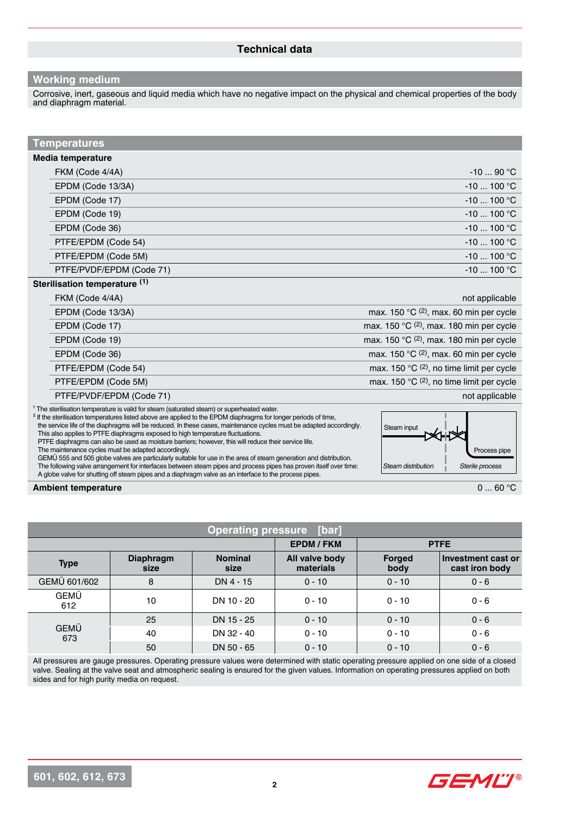#### **Working medium**

Corrosive, inert, gaseous and liquid media which have no negative impact on the physical and chemical properties of the body and diaphragm material.

| Temperatures                  |                                                                |
|-------------------------------|----------------------------------------------------------------|
| Media temperature             |                                                                |
| FKM (Code 4/4A)               | $-1090 °C$                                                     |
| EPDM (Code 13/3A)             | $-10$ 100 °C                                                   |
| EPDM (Code 17)                | $-10$ 100 °C                                                   |
| EPDM (Code 19)                | $-10$ 100 °C                                                   |
| EPDM (Code 36)                | $-10$ 100 °C                                                   |
| PTFE/EPDM (Code 54)           | $-10$ 100 °C                                                   |
| PTFE/EPDM (Code 5M)           | $-10$ 100 °C                                                   |
| PTFE/PVDF/EPDM (Code 71)      | $-10$ 100 °C                                                   |
| Sterilisation temperature (1) |                                                                |
| FKM (Code 4/4A)               | not applicable                                                 |
| EPDM (Code 13/3A)             | max. 150 $\mathrm{C}$ (2), max. 60 min per cycle               |
| EPDM (Code 17)                | max. 150 $^{\circ}$ C (2), max. 180 min per cycle              |
| EPDM (Code 19)                | max. 150 $\degree$ C (2), max. 180 min per cycle               |
| EPDM (Code 36)                | max. 150 $\mathrm{°C}$ (2), max. 60 min per cycle              |
| PTFE/EPDM (Code 54)           | max. 150 $^{\circ}$ C (2), no time limit per cycle             |
| PTFE/EPDM (Code 5M)           | max. 150 $^{\circ}$ C <sup>(2)</sup> , no time limit per cycle |
| PTFE/PVDF/EPDM (Code 71)      | not applicable                                                 |
|                               |                                                                |

<sup>1</sup> The sterilisation temperature is valid for steam (saturated steam) or superheated water.

<sup>2</sup> If the sterilisation temperatures listed above are applied to the EPDM diaphragms for longer periods of time, the service life of the diaphragms will be reduced. In these cases, maintenance cycles must be adapted accordingly. This also applies to PTFE diaphragms exposed to high temperature fluctuations.

 PTFE diaphragms can also be used as moisture barriers; however, this will reduce their service life. The maintenance cycles must be adapted accordingly.

 GEMÜ 555 and 505 globe valves are particularly suitable for use in the area of steam generation and distribution. The following valve arrangement for interfaces between steam pipes and process pipes has proven itself over time: A globe valve for shutting off steam pipes and a diaphragm valve as an interface to the process pipes.



**Ambient temperature** 0 ... 60 °C

| <b>Operating pressure [bar]</b> |                          |                        |                             |                       |                                      |
|---------------------------------|--------------------------|------------------------|-----------------------------|-----------------------|--------------------------------------|
| <b>EPDM/FKM</b><br><b>PTFE</b>  |                          |                        |                             |                       |                                      |
| <b>Type</b>                     | <b>Diaphragm</b><br>size | <b>Nominal</b><br>size | All valve body<br>materials | <b>Forged</b><br>body | Investment cast or<br>cast iron body |
| GEMÜ 601/602                    | 8                        | DN 4 - 15              | $0 - 10$                    | $0 - 10$              | $0 - 6$                              |
| <b>GEMÜ</b><br>612              | 10                       | DN 10 - 20             | $0 - 10$                    | $0 - 10$              | $0 - 6$                              |
|                                 | 25                       | DN 15 - 25             | $0 - 10$                    | $0 - 10$              | $0 - 6$                              |
| <b>GEMÜ</b><br>673              | 40                       | DN 32 - 40             | $0 - 10$                    | $0 - 10$              | $0 - 6$                              |
|                                 | 50                       | DN 50 - 65             | $0 - 10$                    | $0 - 10$              | $0 - 6$                              |

All pressures are gauge pressures. Operating pressure values were determined with static operating pressure applied on one side of a closed valve. Sealing at the valve seat and atmospheric sealing is ensured for the given values. Information on operating pressures applied on both sides and for high purity media on request.

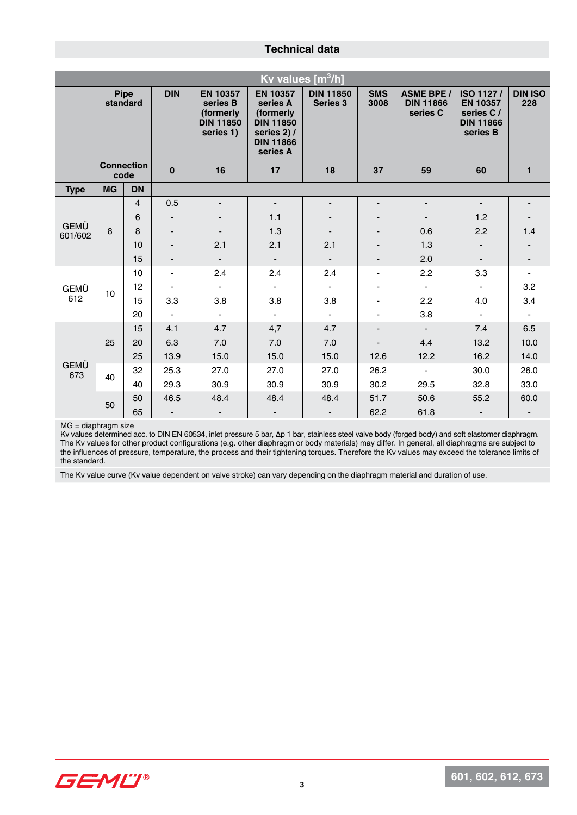#### **Technical data**

| Kv values $[m^3/h]$ |                           |                |                |                                                                           |                                                                                                             |                                     |                          |                                                   |                                                                           |                          |
|---------------------|---------------------------|----------------|----------------|---------------------------------------------------------------------------|-------------------------------------------------------------------------------------------------------------|-------------------------------------|--------------------------|---------------------------------------------------|---------------------------------------------------------------------------|--------------------------|
|                     | Pipe<br>standard          |                | <b>DIN</b>     | <b>EN 10357</b><br>series B<br>(formerly<br><b>DIN 11850</b><br>series 1) | <b>EN 10357</b><br>series A<br>(formerly<br><b>DIN 11850</b><br>series 2) /<br><b>DIN 11866</b><br>series A | <b>DIN 11850</b><br><b>Series 3</b> | <b>SMS</b><br>3008       | <b>ASME BPE /</b><br><b>DIN 11866</b><br>series C | ISO 1127/<br><b>EN 10357</b><br>series C/<br><b>DIN 11866</b><br>series B | <b>DIN ISO</b><br>228    |
|                     | <b>Connection</b><br>code |                | $\mathbf 0$    | 16                                                                        | 17                                                                                                          | 18                                  | 37                       | 59                                                | 60                                                                        | $\mathbf{1}$             |
| <b>Type</b>         | <b>MG</b>                 | <b>DN</b>      |                |                                                                           |                                                                                                             |                                     |                          |                                                   |                                                                           |                          |
|                     |                           | $\overline{4}$ | 0.5            |                                                                           | $\overline{\phantom{a}}$                                                                                    |                                     |                          |                                                   | $\overline{\phantom{a}}$                                                  |                          |
| <b>GEMÜ</b>         |                           | 6              |                |                                                                           | 1.1                                                                                                         |                                     |                          |                                                   | 1.2                                                                       |                          |
| 601/602             | 8                         | 8              |                |                                                                           | 1.3                                                                                                         |                                     |                          | 0.6                                               | 2.2                                                                       | 1.4                      |
|                     |                           | 10             |                | 2.1                                                                       | 2.1                                                                                                         | 2.1                                 |                          | 1.3                                               | $\overline{\phantom{a}}$                                                  |                          |
|                     |                           | 15             |                | $\overline{\phantom{a}}$                                                  | $\overline{\phantom{a}}$                                                                                    | $\overline{\phantom{a}}$            |                          | 2.0                                               | $\overline{\phantom{a}}$                                                  | $\overline{\phantom{a}}$ |
|                     |                           | 10             | $\blacksquare$ | 2.4                                                                       | 2.4                                                                                                         | 2.4                                 | $\blacksquare$           | 2.2                                               | 3.3                                                                       | $\blacksquare$           |
| GEMÜ                | 10                        | 12             |                | $\blacksquare$                                                            | $\blacksquare$                                                                                              | $\blacksquare$                      |                          | $\blacksquare$                                    | $\blacksquare$                                                            | 3.2                      |
| 612                 |                           | 15             | 3.3            | 3.8                                                                       | 3.8                                                                                                         | 3.8                                 |                          | 2.2                                               | 4.0                                                                       | 3.4                      |
|                     |                           | 20             | $\blacksquare$ | $\blacksquare$                                                            | $\blacksquare$                                                                                              | $\blacksquare$                      | $\blacksquare$           | 3.8                                               | $\blacksquare$                                                            | $\blacksquare$           |
|                     |                           | 15             | 4.1            | 4.7                                                                       | 4,7                                                                                                         | 4.7                                 | $\overline{\phantom{0}}$ | $\overline{\phantom{a}}$                          | 7.4                                                                       | 6.5                      |
|                     | 25                        | 20             | 6.3            | 7.0                                                                       | 7.0                                                                                                         | 7.0                                 |                          | 4.4                                               | 13.2                                                                      | 10.0                     |
|                     |                           | 25             | 13.9           | 15.0                                                                      | 15.0                                                                                                        | 15.0                                | 12.6                     | 12.2                                              | 16.2                                                                      | 14.0                     |
| <b>GEMÜ</b><br>673  | 40                        | 32             | 25.3           | 27.0                                                                      | 27.0                                                                                                        | 27.0                                | 26.2                     | $\blacksquare$                                    | 30.0                                                                      | 26.0                     |
|                     |                           | 40             | 29.3           | 30.9                                                                      | 30.9                                                                                                        | 30.9                                | 30.2                     | 29.5                                              | 32.8                                                                      | 33.0                     |
|                     | 50                        | 50             | 46.5           | 48.4                                                                      | 48.4                                                                                                        | 48.4                                | 51.7                     | 50.6                                              | 55.2                                                                      | 60.0                     |
|                     |                           | 65             | $\blacksquare$ | $\overline{\phantom{a}}$                                                  | $\blacksquare$                                                                                              |                                     | 62.2                     | 61.8                                              | -                                                                         |                          |

MG = diaphragm size

Kv values determined acc. to DIN EN 60534, inlet pressure 5 bar, ∆p 1 bar, stainless steel valve body (forged body) and soft elastomer diaphragm. The Kv values for other product configurations (e.g. other diaphragm or body materials) may differ. In general, all diaphragms are subject to the influences of pressure, temperature, the process and their tightening torques. Therefore the Kv values may exceed the tolerance limits of the standard.

The Kv value curve (Kv value dependent on valve stroke) can vary depending on the diaphragm material and duration of use.

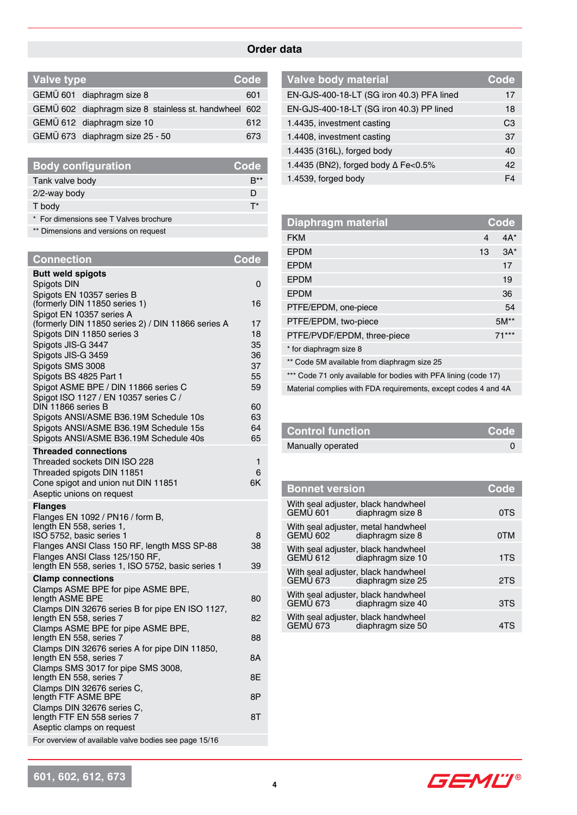# **Order data**

| Valve type |                                                       | Code |
|------------|-------------------------------------------------------|------|
|            | GEMÜ 601 diaphragm size 8                             | 601  |
|            | GEMÜ 602 diaphragm size 8 stainless st. handwheel 602 |      |
|            | GEMÜ 612 diaphragm size 10                            | 612  |
|            | GEMÜ 673 diaphragm size 25 - 50                       | 673  |

| <b>Body configuration</b>              | Code |
|----------------------------------------|------|
| Tank valve body                        |      |
| $2/2$ -way body                        | D    |
| T body                                 |      |
| * For dimensions see T Valves brochure |      |
|                                        |      |

\*\* Dimensions and versions on request

| <b>Connection</b>                                                                | Code     |
|----------------------------------------------------------------------------------|----------|
| <b>Butt weld spigots</b>                                                         |          |
| Spigots DIN                                                                      | 0        |
| Spigots EN 10357 series B<br>(formerly DIN 11850 series 1)                       | 16       |
| Spigot EN 10357 series A                                                         |          |
| (formerly DIN 11850 series 2) / DIN 11866 series A<br>Spigots DIN 11850 series 3 | 17<br>18 |
| Spigots JIS-G 3447                                                               | 35       |
| Spigots JIS-G 3459                                                               | 36       |
| Spigots SMS 3008                                                                 | 37<br>55 |
| Spigots BS 4825 Part 1<br>Spigot ASME BPE / DIN 11866 series C                   | 59       |
| Spigot ISO 1127 / EN 10357 series C /                                            |          |
| DIN 11866 series B<br>Spigots ANSI/ASME B36.19M Schedule 10s                     | 60<br>63 |
| Spigots ANSI/ASME B36.19M Schedule 15s                                           | 64       |
| Spigots ANSI/ASME B36.19M Schedule 40s                                           | 65       |
| <b>Threaded connections</b>                                                      |          |
| Threaded sockets DIN ISO 228<br>Threaded spigots DIN 11851                       | 1<br>6   |
| Cone spigot and union nut DIN 11851                                              | 6K       |
| Aseptic unions on request                                                        |          |
| <b>Flanges</b>                                                                   |          |
| Flanges EN 1092 / PN16 / form B,<br>length EN 558, series 1,                     |          |
| ISO 5752, basic series 1                                                         | 8        |
| Flanges ANSI Class 150 RF, length MSS SP-88<br>Flanges ANSI Class 125/150 RF,    | 38       |
| length EN 558, series 1, ISO 5752, basic series 1                                | 39       |
| <b>Clamp connections</b>                                                         |          |
| Clamps ASME BPE for pipe ASME BPE,<br>length ASME BPE                            | 80       |
| Clamps DIN 32676 series B for pipe EN ISO 1127,                                  |          |
| length EN 558, series 7                                                          | 82       |
| Clamps ASME BPE for pipe ASME BPE,<br>length EN 558, series 7                    | 88       |
| Clamps DIN 32676 series A for pipe DIN 11850,                                    |          |
| length EN 558, series 7<br>Clamps SMS 3017 for pipe SMS 3008,                    | 8Α       |
| length EN 558, series 7                                                          | 8Ε       |
| Clamps DIN 32676 series C.                                                       |          |
| length FTF ASME BPE<br>Clamps DIN 32676 series C,                                | 8P       |
| length FTF EN 558 series 7                                                       | 8T       |
| Aseptic clamps on request                                                        |          |
| For overview of available valve bodies see page 15/16                            |          |

| <b>Valve body material</b>                | Code           |
|-------------------------------------------|----------------|
| EN-GJS-400-18-LT (SG iron 40.3) PFA lined | 17             |
| EN-GJS-400-18-LT (SG iron 40.3) PP lined  | 18             |
| 1.4435, investment casting                | C <sub>3</sub> |
| 1.4408, investment casting                | 37             |
| 1.4435 (316L), forged body                | 40             |
| 1.4435 (BN2), forged body ∆ Fe<0.5%       | 42             |
| 1.4539, forged body                       | F4             |

| <b>Diaphragm material</b>                                       |                | <b>Code</b> |
|-----------------------------------------------------------------|----------------|-------------|
| <b>FKM</b>                                                      | $\overline{4}$ | $4A^*$      |
| <b>EPDM</b>                                                     | 13             | $3A^*$      |
| <b>EPDM</b>                                                     |                | 17          |
| <b>EPDM</b>                                                     |                | 19          |
| <b>EPDM</b>                                                     |                | 36          |
| PTFE/EPDM, one-piece                                            |                | 54          |
| PTFE/EPDM, two-piece                                            |                | $5M^*$      |
| PTFE/PVDF/EPDM, three-piece                                     |                | $71***$     |
| * for diaphragm size 8                                          |                |             |
| ** Code 5M available from diaphragm size 25                     |                |             |
| *** Code 71 only available for bodies with PFA lining (code 17) |                |             |
| Material complies with FDA requirements, except codes 4 and 4A  |                |             |

| <b>Control function</b> | ∣ Code' |
|-------------------------|---------|
| Manually operated       |         |

| <b>Bonnet version</b> |                                                          | Code |  |
|-----------------------|----------------------------------------------------------|------|--|
| GEMÜ 601              | With seal adjuster, black handwheel<br>diaphragm size 8  | 0TS  |  |
| GEMÜ 602              | With seal adjuster, metal handwheel<br>diaphragm size 8  | 0TM  |  |
| GEMU 612              | With seal adjuster, black handwheel<br>diaphragm size 10 | 1TS  |  |
| <b>GEMU 673</b>       | With seal adjuster, black handwheel<br>diaphragm size 25 | 2TS  |  |
| GEMÜ 673              | With seal adjuster, black handwheel<br>diaphragm size 40 | 3TS  |  |
| <b>GEMÜ 673</b>       | With seal adjuster, black handwheel<br>diaphragm size 50 | 41S  |  |

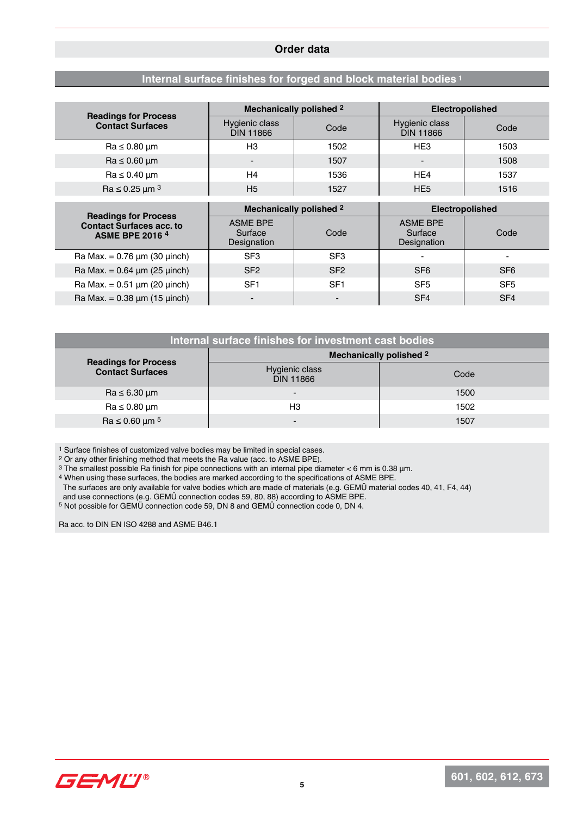#### **Order data**

## **Internal surface finishes for forged and block material bodies <sup>1</sup>**

|                                                                                          | Mechanically polished 2                   |                         | <b>Electropolished</b>                    |                 |  |
|------------------------------------------------------------------------------------------|-------------------------------------------|-------------------------|-------------------------------------------|-----------------|--|
| <b>Readings for Process</b><br><b>Contact Surfaces</b>                                   | Hygienic class<br><b>DIN 11866</b>        | Code                    | Hygienic class<br><b>DIN 11866</b>        | Code            |  |
| $Ra \leq 0.80 \mu m$                                                                     | H3                                        | 1502                    | HE <sub>3</sub>                           | 1503            |  |
| $Ra \leq 0.60 \mu m$                                                                     |                                           | 1507                    | $\qquad \qquad \blacksquare$              | 1508            |  |
| $Ra \leq 0.40 \mu m$                                                                     | H <sub>4</sub>                            | 1536                    | HE <sub>4</sub>                           | 1537            |  |
| $Ra \le 0.25 \mu m^3$                                                                    | H <sub>5</sub>                            | 1527                    | HE <sub>5</sub>                           | 1516            |  |
|                                                                                          |                                           |                         |                                           |                 |  |
|                                                                                          |                                           |                         |                                           |                 |  |
|                                                                                          |                                           | Mechanically polished 2 | <b>Electropolished</b>                    |                 |  |
| <b>Readings for Process</b><br><b>Contact Surfaces acc. to</b><br><b>ASME BPE 2016 4</b> | <b>ASME BPE</b><br>Surface<br>Designation | Code                    | <b>ASME BPE</b><br>Surface<br>Designation | Code            |  |
| Ra Max. = $0.76 \mu m$ (30 $\mu$ inch)                                                   | SF <sub>3</sub>                           | SF <sub>3</sub>         |                                           |                 |  |
| Ra Max. = $0.64 \mu m (25 \mu nch)$                                                      | SF <sub>2</sub>                           | SF <sub>2</sub>         | SF <sub>6</sub>                           | SF <sub>6</sub> |  |
| Ra Max. = $0.51 \mu m$ (20 $\mu$ inch)                                                   | SF <sub>1</sub>                           | SF <sub>1</sub>         | SF <sub>5</sub>                           | SF <sub>5</sub> |  |

| Internal surface finishes for investment cast bodies |                                    |      |  |  |
|------------------------------------------------------|------------------------------------|------|--|--|
| <b>Readings for Process</b>                          | Mechanically polished 2            |      |  |  |
| <b>Contact Surfaces</b>                              | Hygienic class<br><b>DIN 11866</b> | Code |  |  |
| $Ra \leq 6.30 \mu m$                                 | $\overline{\phantom{0}}$           | 1500 |  |  |
| $Ra \leq 0.80 \mu m$                                 | H <sub>3</sub>                     | 1502 |  |  |
| $Ra \le 0.60 \mu m^{5}$                              | $\overline{\phantom{0}}$           | 1507 |  |  |

1 Surface finishes of customized valve bodies may be limited in special cases.

2 Or any other finishing method that meets the Ra value (acc. to ASME BPE).

<sup>3</sup> The smallest possible Ra finish for pipe connections with an internal pipe diameter < 6 mm is 0.38 µm.

4 When using these surfaces, the bodies are marked according to the specifications of ASME BPE.

The surfaces are only available for valve bodies which are made of materials (e.g. GEMÜ material codes 40, 41, F4, 44)

and use connections (e.g. GEMÜ connection codes 59, 80, 88) according to ASME BPE.

5 Not possible for GEMÜ connection code 59, DN 8 and GEMÜ connection code 0, DN 4.

Ra acc. to DIN EN ISO 4288 and ASME B46.1

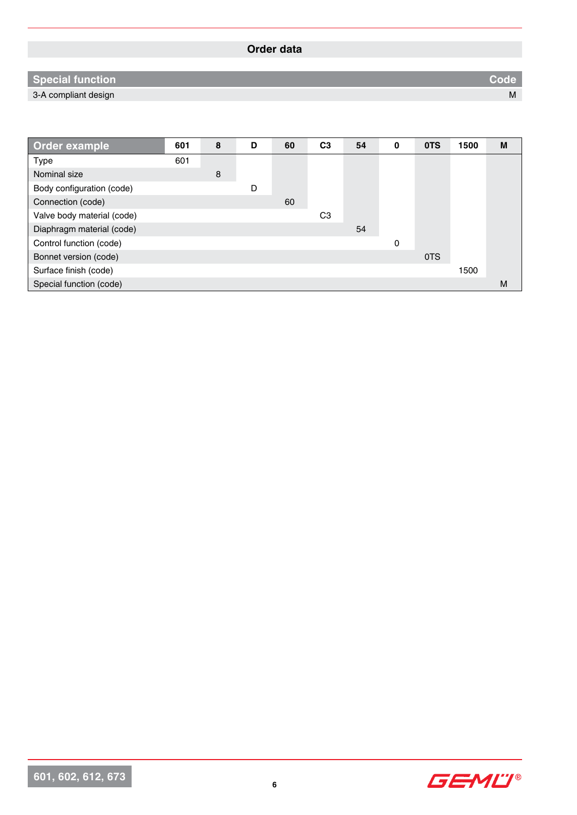# **Special function Code**

3-A compliant design M

| Order example              | 601 | 8 | D | 60 | C <sub>3</sub> | 54 | 0 | 0TS | 1500 | M |
|----------------------------|-----|---|---|----|----------------|----|---|-----|------|---|
| <b>Type</b>                | 601 |   |   |    |                |    |   |     |      |   |
| Nominal size               |     | 8 |   |    |                |    |   |     |      |   |
| Body configuration (code)  |     |   | D |    |                |    |   |     |      |   |
| Connection (code)          |     |   |   | 60 |                |    |   |     |      |   |
| Valve body material (code) |     |   |   |    | C <sub>3</sub> |    |   |     |      |   |
| Diaphragm material (code)  |     |   |   |    |                | 54 |   |     |      |   |
| Control function (code)    |     |   |   |    |                |    | 0 |     |      |   |
| Bonnet version (code)      |     |   |   |    |                |    |   | 0TS |      |   |
| Surface finish (code)      |     |   |   |    |                |    |   |     | 1500 |   |
| Special function (code)    |     |   |   |    |                |    |   |     |      | M |

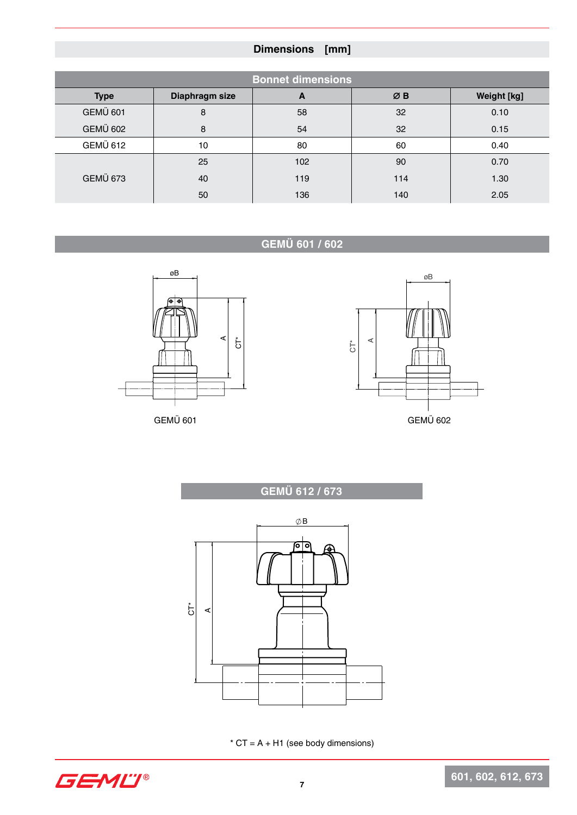# **Dimensions [mm]**

|                 |                | <b>Bonnet dimensions</b> |     |             |
|-----------------|----------------|--------------------------|-----|-------------|
| <b>Type</b>     | Diaphragm size | A                        | ØB  | Weight [kg] |
| <b>GEMÜ 601</b> | 8              | 58                       | 32  | 0.10        |
| <b>GEMÜ 602</b> | 8              | 54                       | 32  | 0.15        |
| <b>GEMÜ 612</b> | 10             | 80                       | 60  | 0.40        |
|                 | 25             | 102                      | 90  | 0.70        |
| <b>GEMÜ 673</b> | 40             | 119                      | 114 | 1.30        |
|                 | 50             | 136                      | 140 | 2.05        |

# **GEMÜ 601 / 602**





**GEMÜ 612 / 673 GEMÜ 612 / 673**



 $*$  CT = A + H1 (see body dimensions)

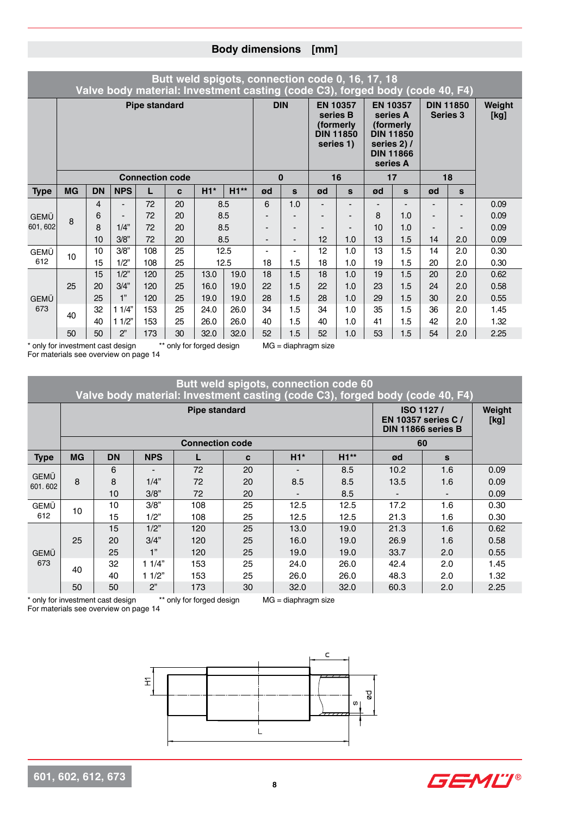|             |              |           |                          |                        |    | Butt weld spigots, connection code 0, 16, 17, 18<br>Valve body material: Investment casting (code C3), forged body (code 40, F4) |        |                          |              |                          |                                                                            |                      |                                                                                      |                 |                          |                |
|-------------|--------------|-----------|--------------------------|------------------------|----|----------------------------------------------------------------------------------------------------------------------------------|--------|--------------------------|--------------|--------------------------|----------------------------------------------------------------------------|----------------------|--------------------------------------------------------------------------------------|-----------------|--------------------------|----------------|
|             |              |           |                          | <b>Pipe standard</b>   |    |                                                                                                                                  |        |                          | <b>DIN</b>   |                          | <b>EN 10357</b><br>series B<br>(formerly)<br><b>DIN 11850</b><br>series 1) | series A<br>series A | <b>EN 10357</b><br>(formerly)<br><b>DIN 11850</b><br>series 2) /<br><b>DIN 11866</b> | <b>Series 3</b> | <b>DIN 11850</b>         | Weight<br>[kg] |
|             |              |           |                          | <b>Connection code</b> |    |                                                                                                                                  |        |                          | $\mathbf{0}$ |                          | 16                                                                         |                      | 17                                                                                   |                 | 18                       |                |
| <b>Type</b> | <b>MG</b>    | <b>DN</b> | <b>NPS</b>               | L                      | C  | $H1*$                                                                                                                            | $H1**$ | ød                       | S            | ød                       | $\mathbf{s}$                                                               | ød                   | S                                                                                    | ød              | $\mathbf{s}$             |                |
|             |              | 4         | $\blacksquare$           | 72                     | 20 |                                                                                                                                  | 8.5    | 6                        | 1.0          |                          |                                                                            |                      | $\overline{\phantom{0}}$                                                             | -               | $\overline{\phantom{0}}$ | 0.09           |
| <b>GEMÜ</b> | $\mathsf{R}$ | 6         | $\overline{\phantom{0}}$ | 72                     | 20 |                                                                                                                                  | 8.5    | $\overline{\phantom{0}}$ | -            | $\overline{\phantom{a}}$ |                                                                            | 8                    | 1.0                                                                                  | -               | $\overline{\phantom{0}}$ | 0.09           |
| 601, 602    |              | 8         | 1/4"                     | 72                     | 20 |                                                                                                                                  | 8.5    | -                        | -            | $\overline{\phantom{a}}$ |                                                                            | 10                   | 1.0                                                                                  |                 |                          | 0.09           |
|             |              | 10        | 3/8"                     | 72                     | 20 |                                                                                                                                  | 8.5    | -                        | -            | 12                       | 1.0                                                                        | 13                   | 1.5                                                                                  | 14              | 2.0                      | 0.09           |
| GEMÜ        | 10           | 10        | 3/8"                     | 108                    | 25 |                                                                                                                                  | 12.5   |                          | ٠            | 12                       | 1.0                                                                        | 13                   | 1.5                                                                                  | 14              | 2.0                      | 0.30           |
| 612         |              | 15        | 1/2"                     | 108                    | 25 |                                                                                                                                  | 12.5   | 18                       | 1.5          | 18                       | 1.0                                                                        | 19                   | 1.5                                                                                  | 20              | 2.0                      | 0.30           |
|             |              | 15        | 1/2"                     | 120                    | 25 | 13.0                                                                                                                             | 19.0   | 18                       | 1.5          | 18                       | 1.0                                                                        | 19                   | 1.5                                                                                  | 20              | 2.0                      | 0.62           |
|             | 25           | 20        | 3/4"                     | 120                    | 25 | 16.0                                                                                                                             | 19.0   | 22                       | 1.5          | 22                       | 1.0                                                                        | 23                   | 1.5                                                                                  | 24              | 2.0                      | 0.58           |
| <b>GEMÜ</b> |              | 25        | 1"                       | 120                    | 25 | 19.0                                                                                                                             | 19.0   | 28                       | 1.5          | 28                       | 1.0                                                                        | 29                   | 1.5                                                                                  | 30              | 2.0                      | 0.55           |
| 673         | 40           | 32        | 11/4"                    | 153                    | 25 | 24.0                                                                                                                             | 26.0   | 34                       | 1.5          | 34                       | 1.0                                                                        | 35                   | 1.5                                                                                  | 36              | 2.0                      | 1.45           |
|             |              | 40        | 11/2"                    | 153                    | 25 | 26.0                                                                                                                             | 26.0   | 40                       | 1.5          | 40                       | 1.0                                                                        | 41                   | 1.5                                                                                  | 42              | 2.0                      | 1.32           |
|             | 50           | 50        | 2"                       | 173                    | 30 | 32.0                                                                                                                             | 32.0   | 52                       | 1.5          | 52                       | 1.0                                                                        | 53                   | 1.5                                                                                  | 54              | 2.0                      | 2.25           |

\* only for investment cast design \*\* only for forged design MG = diaphragm size For materials see overview on page 14

|                        |           |                                   |            |                           |    | Butt weld spigots, connection code 60                                        |        |      |                                                              |                |
|------------------------|-----------|-----------------------------------|------------|---------------------------|----|------------------------------------------------------------------------------|--------|------|--------------------------------------------------------------|----------------|
|                        |           |                                   |            |                           |    | Valve body material: Investment casting (code C3), forged body (code 40, F4) |        |      |                                                              |                |
|                        |           |                                   |            | <b>Pipe standard</b>      |    |                                                                              |        |      | ISO 1127/<br><b>EN 10357 series C/</b><br>DIN 11866 series B | Weight<br>[kg] |
|                        |           |                                   |            | <b>Connection code</b>    |    |                                                                              |        |      | 60                                                           |                |
| <b>Type</b>            | <b>MG</b> | <b>DN</b>                         | <b>NPS</b> |                           | C  | $H1*$                                                                        | $H1**$ | ød   | S                                                            |                |
|                        |           | 6                                 |            | 72                        | 20 |                                                                              | 8.5    | 10.2 | 1.6                                                          | 0.09           |
| <b>GEMÜ</b><br>601.602 | 8         | 8                                 | 1/4"       | 72                        | 20 | 8.5                                                                          | 8.5    | 13.5 | 1.6                                                          | 0.09           |
|                        |           | 10                                | 3/8"       | 72                        | 20 |                                                                              | 8.5    |      |                                                              | 0.09           |
| GEMÜ                   | 10        | 10                                | 3/8"       | 108                       | 25 | 12.5                                                                         | 12.5   | 17.2 | 1.6                                                          | 0.30           |
| 612                    |           | 15                                | 1/2"       | 108                       | 25 | 12.5                                                                         | 12.5   | 21.3 | 1.6                                                          | 0.30           |
|                        |           | 15                                | 1/2"       | 120                       | 25 | 13.0                                                                         | 19.0   | 21.3 | 1.6                                                          | 0.62           |
|                        | 25        | 20                                | 3/4"       | 120                       | 25 | 16.0                                                                         | 19.0   | 26.9 | 1.6                                                          | 0.58           |
| <b>GEMÜ</b>            |           | 25                                | 1"         | 120                       | 25 | 19.0                                                                         | 19.0   | 33.7 | 2.0                                                          | 0.55           |
| 673                    | 40        | 32                                | 11/4"      | 153                       | 25 | 24.0                                                                         | 26.0   | 42.4 | 2.0                                                          | 1.45           |
|                        |           | 40                                | 11/2"      | 153                       | 25 | 26.0                                                                         | 26.0   | 48.3 | 2.0                                                          | 1.32           |
|                        | 50        | 50                                | 2"         | 173                       | 30 | 32.0                                                                         | 32.0   | 60.3 | 2.0                                                          | 2.25           |
|                        |           | * only for investment cast design |            | ** only for forged design |    | $MG = diaphragm size$                                                        |        |      |                                                              |                |

For materials see overview on page 14





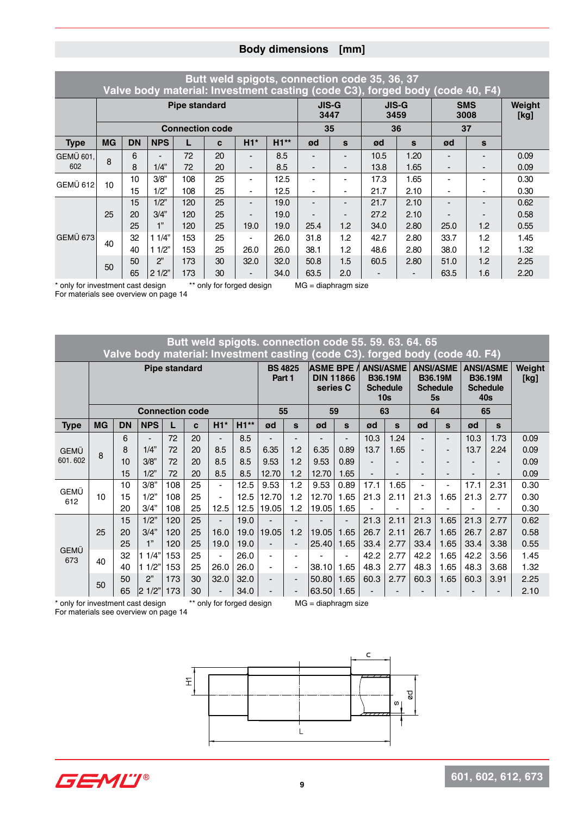|                 |           |           |            |                        |    |                          |        |                |                          | Butt weld spigots, connection code 35, 36, 37 | Valve body material: Investment casting (code C3), forged body (code 40, F4) |      |                    |                |
|-----------------|-----------|-----------|------------|------------------------|----|--------------------------|--------|----------------|--------------------------|-----------------------------------------------|------------------------------------------------------------------------------|------|--------------------|----------------|
|                 |           |           |            | <b>Pipe standard</b>   |    |                          |        |                | <b>JIS-G</b><br>3447     |                                               | <b>JIS-G</b><br>3459                                                         |      | <b>SMS</b><br>3008 | Weight<br>[kg] |
|                 |           |           |            | <b>Connection code</b> |    |                          |        |                | 35                       |                                               | 36                                                                           |      | 37                 |                |
| <b>Type</b>     | <b>MG</b> | <b>DN</b> | <b>NPS</b> | L                      | C  | $H1*$                    | $H1**$ | ød             | S                        | ød                                            | $\mathbf{s}$                                                                 | ød   | $\mathbf{s}$       |                |
| GEMÜ 601.       | 8         | 6         |            | 72                     | 20 |                          | 8.5    |                |                          | 10.5                                          | 1.20                                                                         |      |                    | 0.09           |
| 602             |           | 8         | 1/4"       | 72                     | 20 | $\overline{\phantom{0}}$ | 8.5    |                | -                        | 13.8                                          | 1.65                                                                         |      | $\blacksquare$     | 0.09           |
| <b>GEMÜ 612</b> | 10        | 10        | 3/8"       | 108                    | 25 | $\overline{\phantom{0}}$ | 12.5   |                |                          | 17.3                                          | 1.65                                                                         |      |                    | 0.30           |
|                 |           | 15        | 1/2"       | 108                    | 25 | $\blacksquare$           | 12.5   | $\blacksquare$ | $\overline{\phantom{0}}$ | 21.7                                          | 2.10                                                                         |      |                    | 0.30           |
|                 |           | 15        | 1/2"       | 120                    | 25 | $\blacksquare$           | 19.0   |                | -                        | 21.7                                          | 2.10                                                                         |      |                    | 0.62           |
|                 | 25        | 20        | 3/4"       | 120                    | 25 |                          | 19.0   |                | -                        | 27.2                                          | 2.10                                                                         |      |                    | 0.58           |
|                 |           | 25        | 1"         | 120                    | 25 | 19.0                     | 19.0   | 25.4           | 1.2                      | 34.0                                          | 2.80                                                                         | 25.0 | 1.2                | 0.55           |
| <b>GEMÜ 673</b> | 40        | 32        | 11/4"      | 153                    | 25 | $\overline{\phantom{0}}$ | 26.0   | 31.8           | 1.2                      | 42.7                                          | 2.80                                                                         | 33.7 | 1.2                | 1.45           |
|                 |           | 40        | 11/2"      | 153                    | 25 | 26.0                     | 26.0   | 38.1           | 1.2                      | 48.6                                          | 2.80                                                                         | 38.0 | 1.2                | 1.32           |
|                 | 50        | 50        | 2"         | 173                    | 30 | 32.0                     | 32.0   | 50.8           | 1.5                      | 60.5                                          | 2.80                                                                         | 51.0 | 1.2                | 2.25           |
|                 |           | 65        | 21/2"      | 173                    | 30 | $\overline{\phantom{0}}$ | 34.0   | 63.5           | 2.0                      |                                               |                                                                              | 63.5 | 1.6                | 2.20           |

\* only for investment cast design \*\* only for forged design MG = diaphragm size

For materials see overview on page 14

## **Butt weld spigots. connection code 55. 59. 63. 64. 65 Valve body material: Investment casting (code C3). forged body (code 40. F4)**

|                    |           |           |                        | <b>Pipe standard</b> |    |                |        | <b>BS 4825</b><br>Part 1 |                              | <b>ASME BPE /</b><br>series C | <b>DIN 11866</b>         |      | <b>ANSI/ASME</b><br><b>B36.19M</b><br><b>Schedule</b><br>10 <sub>s</sub> | 5s             | <b>ANSI/ASME</b><br><b>B36.19M</b><br><b>Schedule</b> |      | <b>ANSI/ASME</b><br><b>B36.19M</b><br><b>Schedule</b><br>40s | Weight<br>[kg] |
|--------------------|-----------|-----------|------------------------|----------------------|----|----------------|--------|--------------------------|------------------------------|-------------------------------|--------------------------|------|--------------------------------------------------------------------------|----------------|-------------------------------------------------------|------|--------------------------------------------------------------|----------------|
|                    |           |           | <b>Connection code</b> |                      |    |                |        | 55                       |                              | 59                            |                          |      | 63                                                                       | 64             |                                                       | 65   |                                                              |                |
| <b>Type</b>        | <b>MG</b> | <b>DN</b> | <b>NPS</b>             |                      | C  | $H1*$          | $H1**$ | ød                       | S                            | ød                            | S                        | ød   | S                                                                        | ød             | $\mathbf{s}$                                          | ød   | S                                                            |                |
|                    |           | 6         | $\blacksquare$         | 72                   | 20 |                | 8.5    |                          | $\overline{\phantom{0}}$     |                               | $\overline{\phantom{0}}$ | 10.3 | 1.24                                                                     | $\blacksquare$ | $\blacksquare$                                        | 10.3 | 1.73                                                         | 0.09           |
| <b>GEMÜ</b>        | 8         | 8         | 1/4"                   | 72                   | 20 | 8.5            | 8.5    | 6.35                     | 1.2                          | 6.35                          | 0.89                     | 13.7 | 1.65                                                                     | ۰              | -                                                     | 13.7 | 2.24                                                         | 0.09           |
| 601.602            |           | 10        | 3/8"                   | 72                   | 20 | 8.5            | 8.5    | 9.53                     | 1.2                          | 9.53                          | 0.89                     |      |                                                                          |                | $\overline{\phantom{0}}$                              |      |                                                              | 0.09           |
|                    |           | 15        | 1/2"                   | 72                   | 20 | 8.5            | 8.5    | 12.70                    | 1.2                          | 12.70                         | 1.65                     |      |                                                                          |                | $\overline{\phantom{0}}$                              |      |                                                              | 0.09           |
|                    |           | 10        | 3/8"                   | 108                  | 25 | $\blacksquare$ | 12.5   | 9.53                     | 1.2                          | 9.53                          | 0.89                     | 17.1 | 1.65                                                                     |                | $\blacksquare$                                        | 17.1 | 2.31                                                         | 0.30           |
| <b>GEMÜ</b><br>612 | 10        | 15        | 1/2"                   | 108                  | 25 |                | 12.5   | 12.70                    | 1.2                          | 12.70                         | 1.65                     | 21.3 | 2.11                                                                     | 21.3           | 1.65                                                  | 21.3 | 2.77                                                         | 0.30           |
|                    |           | 20        | 3/4"                   | 108                  | 25 | 12.5           | 12.5   | 19.05                    | 1.2                          | 19.05                         | 1.65                     |      |                                                                          |                |                                                       |      |                                                              | 0.30           |
|                    |           | 15        | 1/2"                   | 120                  | 25 |                | 19.0   |                          | $\overline{\phantom{0}}$     |                               | $\overline{\phantom{0}}$ | 21.3 | 2.11                                                                     | 21.3           | 1.65                                                  | 21.3 | 2.77                                                         | 0.62           |
|                    | 25        | 20        | 3/4"                   | 120                  | 25 | 16.0           | 19.0   | 19.05                    | 1.2                          | 19.05                         | 1.65                     | 26.7 | 2.11                                                                     | 26.7           | 1.65                                                  | 26.7 | 2.87                                                         | 0.58           |
|                    |           | 25        | 1"                     | 120                  | 25 | 19.0           | 19.0   |                          | $\overline{\phantom{0}}$     | 25.40                         | 1.65                     | 33.4 | 2.77                                                                     | 33.4           | 1.65                                                  | 33.4 | 3.38                                                         | 0.55           |
| <b>GEMÜ</b><br>673 | 40        | 32        | 1/4"<br>1              | 153                  | 25 |                | 26.0   |                          |                              |                               |                          | 42.2 | 2.77                                                                     | 42.2           | 1.65                                                  | 42.2 | 3.56                                                         | 1.45           |
|                    |           | 40        | 11/2"                  | 153                  | 25 | 26.0           | 26.0   | $\overline{\phantom{a}}$ | $\overline{\phantom{0}}$     | 38.10                         | 1.65                     | 48.3 | 2.77                                                                     | 48.3           | 1.65                                                  | 48.3 | 3.68                                                         | 1.32           |
|                    | 50        | 50        | 2"                     | 173                  | 30 | 32.0           | 32.0   |                          | $\qquad \qquad \blacksquare$ | 50.80                         | 1.65                     | 60.3 | 2.77                                                                     | 60.3           | 1.65                                                  | 60.3 | 3.91                                                         | 2.25           |
|                    |           | 65        | 2 1/2"                 | 173                  | 30 |                | 34.0   |                          | $\qquad \qquad \blacksquare$ | 63.50                         | 1.65                     |      |                                                                          |                |                                                       |      |                                                              | 2.10           |

\* only for investment cast design \*\* only for forged design MG = diaphragm size For materials see overview on page 14



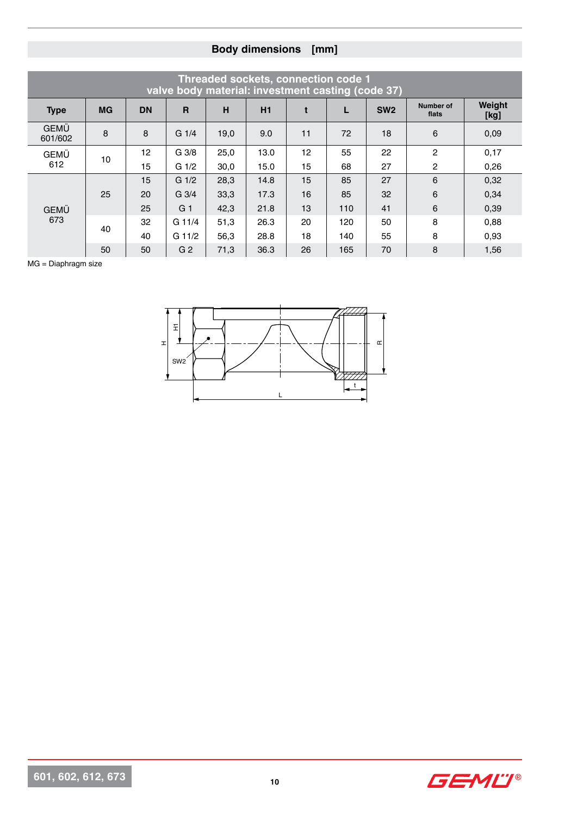|                        |           |           |                  |      | Threaded sockets, connection code 1<br>valve body material: investment casting (code 37) |    |     |                 |                    |                |
|------------------------|-----------|-----------|------------------|------|------------------------------------------------------------------------------------------|----|-----|-----------------|--------------------|----------------|
| <b>Type</b>            | <b>MG</b> | <b>DN</b> | $\mathbf{R}$     | H    | H1                                                                                       | t  | L   | SW <sub>2</sub> | Number of<br>flats | Weight<br>[kg] |
| <b>GEMÜ</b><br>601/602 | 8         | 8         | $G_1/4$          | 19,0 | 9.0                                                                                      | 11 | 72  | 18              | 6                  | 0,09           |
| <b>GEMÜ</b>            | 10        | 12        | G <sub>3/8</sub> | 25,0 | 13.0                                                                                     | 12 | 55  | 22              | $\overline{2}$     | 0,17           |
| 612                    |           | 15        | $G_1/2$          | 30,0 | 15.0                                                                                     | 15 | 68  | 27              | 2                  | 0,26           |
|                        |           | 15        | $G \frac{1}{2}$  | 28,3 | 14.8                                                                                     | 15 | 85  | 27              | 6                  | 0,32           |
|                        | 25        | 20        | G <sub>3/4</sub> | 33,3 | 17.3                                                                                     | 16 | 85  | 32              | 6                  | 0,34           |
| <b>GEMÜ</b>            |           | 25        | G <sub>1</sub>   | 42,3 | 21.8                                                                                     | 13 | 110 | 41              | 6                  | 0,39           |
| 673                    | 40        | 32        | G 11/4           | 51,3 | 26.3                                                                                     | 20 | 120 | 50              | 8                  | 0,88           |
|                        |           | 40        | $G$ 11/2         | 56,3 | 28.8                                                                                     | 18 | 140 | 55              | 8                  | 0.93           |
|                        | 50        | 50        | G <sub>2</sub>   | 71,3 | 36.3                                                                                     | 26 | 165 | 70              | 8                  | 1,56           |

MG = Diaphragm size



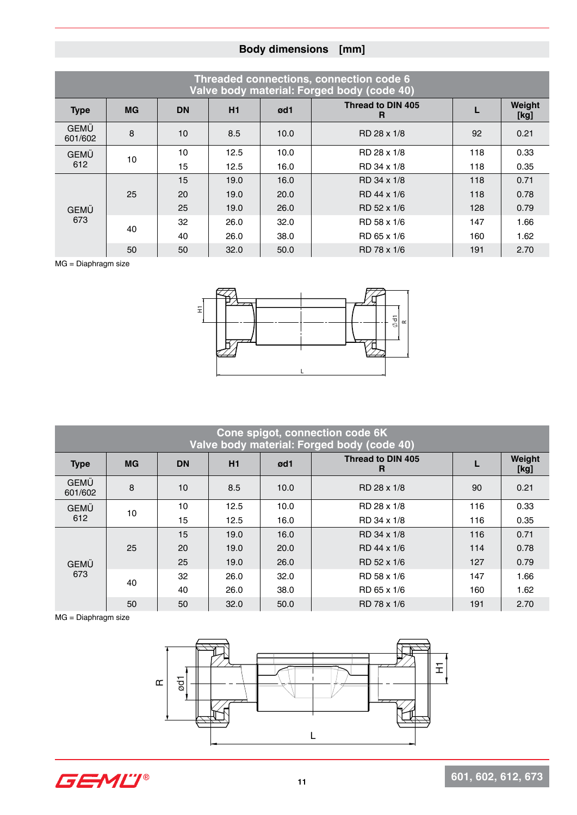|                        |           |           |      |      | Threaded connections, connection code 6<br>Valve body material: Forged body (code 40) |     |                |
|------------------------|-----------|-----------|------|------|---------------------------------------------------------------------------------------|-----|----------------|
| <b>Type</b>            | <b>MG</b> | <b>DN</b> | H1   | ød1  | Thread to DIN 405<br>R                                                                |     | Weight<br>[kg] |
| <b>GEMÜ</b><br>601/602 | 8         | 10        | 8.5  | 10.0 | RD 28 x 1/8                                                                           | 92  | 0.21           |
| <b>GEMÜ</b>            | 10        | 10        | 12.5 | 10.0 | RD 28 x 1/8                                                                           | 118 | 0.33           |
| 612                    |           | 15        | 12.5 | 16.0 | RD 34 x 1/8                                                                           | 118 | 0.35           |
|                        |           | 15        | 19.0 | 16.0 | RD 34 x 1/8                                                                           | 118 | 0.71           |
|                        | 25        | 20        | 19.0 | 20.0 | RD 44 x 1/6                                                                           | 118 | 0.78           |
| <b>GEMÜ</b>            |           | 25        | 19.0 | 26.0 | RD 52 x 1/6                                                                           | 128 | 0.79           |
| 673                    | 40        | 32        | 26.0 | 32.0 | RD 58 x 1/6                                                                           | 147 | 1.66           |
|                        |           | 40        | 26.0 | 38.0 | RD 65 x 1/6                                                                           | 160 | 1.62           |
|                        | 50        | 50        | 32.0 | 50.0 | RD 78 x 1/6                                                                           | 191 | 2.70           |

MG = Diaphragm size



|                        |           |                 |      |      | Cone spigot, connection code 6K<br>Valve body material: Forged body (code 40) |     |                |
|------------------------|-----------|-----------------|------|------|-------------------------------------------------------------------------------|-----|----------------|
| <b>Type</b>            | <b>MG</b> | <b>DN</b>       | H1   | ød1  | Thread to DIN 405<br>R                                                        |     | Weight<br>[kg] |
| <b>GEMÜ</b><br>601/602 | 8         | 10 <sup>1</sup> | 8.5  | 10.0 | RD 28 x 1/8                                                                   | 90  | 0.21           |
| <b>GEMÜ</b>            | 10        | 10              | 12.5 | 10.0 | RD 28 x 1/8                                                                   | 116 | 0.33           |
| 612                    |           | 15              | 12.5 | 16.0 | RD 34 x 1/8                                                                   | 116 | 0.35           |
|                        |           | 15              | 19.0 | 16.0 | RD 34 x 1/8                                                                   | 116 | 0.71           |
|                        | 25        | 20              | 19.0 | 20.0 | RD 44 x 1/6                                                                   | 114 | 0.78           |
| <b>GEMÜ</b>            |           | 25              | 19.0 | 26.0 | RD 52 x 1/6                                                                   | 127 | 0.79           |
| 673                    | 40        | 32              | 26.0 | 32.0 | RD 58 x 1/6                                                                   | 147 | 1.66           |
|                        |           | 40              | 26.0 | 38.0 | RD 65 x 1/6                                                                   | 160 | 1.62           |
|                        | 50        | 50              | 32.0 | 50.0 | RD 78 x 1/6                                                                   | 191 | 2.70           |

MG = Diaphragm size



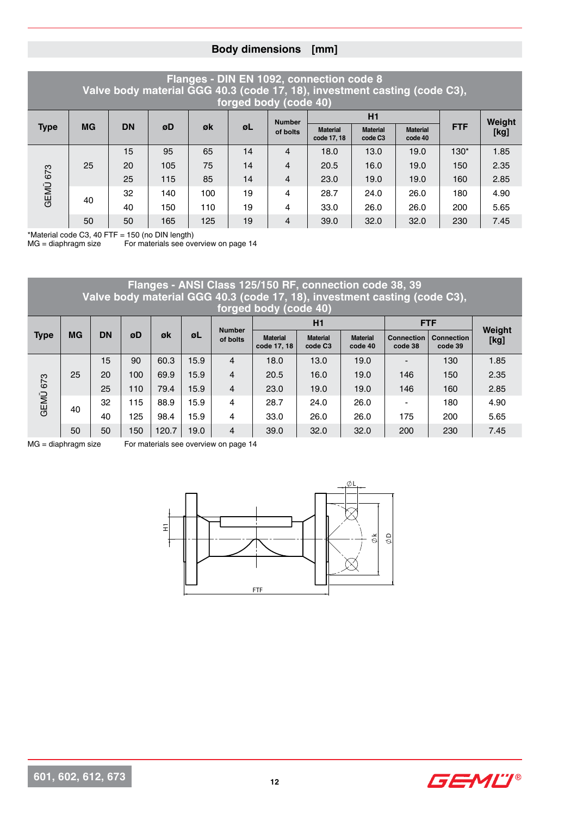#### **Flanges - DIN EN 1092, connection code 8 Valve body material GGG 40.3 (code 17, 18), investment casting (code C3), forged body (code 40)**

|             |           |           |     |     | $10.900$ $200$ $700$ $80$ |                |                                |                                        |                            |            |        |
|-------------|-----------|-----------|-----|-----|---------------------------|----------------|--------------------------------|----------------------------------------|----------------------------|------------|--------|
|             |           |           |     |     |                           | <b>Number</b>  |                                | H1                                     |                            |            | Weight |
| <b>Type</b> | <b>MG</b> | <b>DN</b> | øD  | øk  | ØL                        | of bolts       | <b>Material</b><br>code 17, 18 | <b>Material</b><br>code C <sub>3</sub> | <b>Material</b><br>code 40 | <b>FTF</b> | [kg]   |
|             |           | 15        | 95  | 65  | 14                        | 4              | 18.0                           | 13.0                                   | 19.0                       | $130*$     | 1.85   |
|             | 25        | 20        | 105 | 75  | 14                        | 4              | 20.5                           | 16.0                                   | 19.0                       | 150        | 2.35   |
|             |           | 25        | 115 | 85  | 14                        | $\overline{4}$ | 23.0                           | 19.0                                   | 19.0                       | 160        | 2.85   |
| GEMÜ 673    |           | 32        | 140 | 100 | 19                        | 4              | 28.7                           | 24.0                                   | 26.0                       | 180        | 4.90   |
|             | 40        | 40        | 150 | 110 | 19                        | 4              | 33.0                           | 26.0                                   | 26.0                       | 200        | 5.65   |
|             | 50        | 50        | 165 | 125 | 19                        | 4              | 39.0                           | 32.0                                   | 32.0                       | 230        | 7.45   |

\*Material code C3, 40 FTF = 150 (no DIN length)

For materials see overview on page 14

#### **Flanges - ANSI Class 125/150 RF, connection code 38, 39 Valve body material GGG 40.3 (code 17, 18), investment casting (code C3), forged body (code 40) Type MG DN øD øk øL Number of bolts H1 FTF Weight Material [kg] code 17, 18 Material code C3 Material code 40 Connection code 38 Connection code 39** GEMÜ 673 25 15 | 90 | 60.3 | 15.9 | 4 | 18.0 | 13.0 | 19.0 | - | 130 | 1.85 20 100 69.9 15.9 4 20.5 16.0 19.0 146 150 2.35 25 110 79.4 15.9 4 23.0 19.0 19.0 146 160 2.85 40 32 115 88.9 15.9 4 28.7 24.0 26.0 - 180 4.90 40 | 125 | 98.4 | 15.9 | 4 | 33.0 | 26.0 | 26.0 | 175 | 200 | 5.65 50 50 150 120.7 19.0 4 39.0 32.0 32.0 200 230 7.45

MG = diaphragm size For materials see overview on page 14



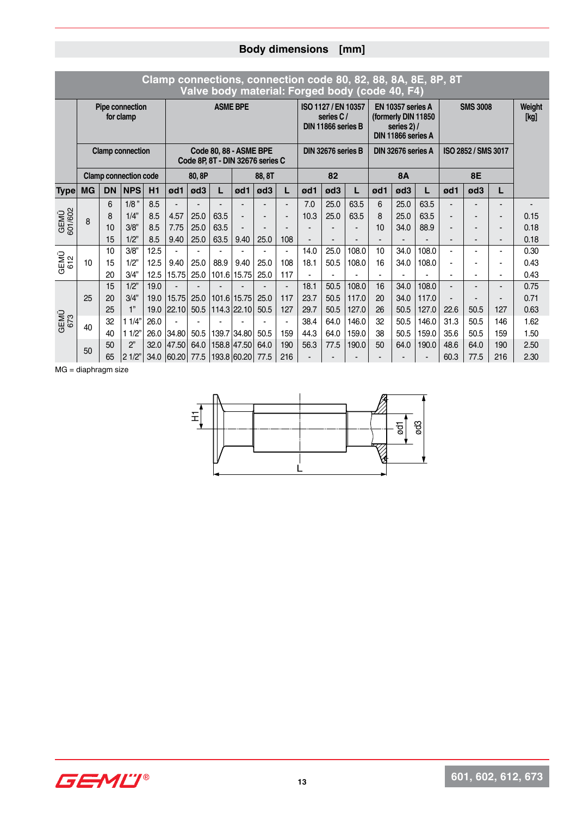|                    |           |           |                              |      |                             |        |                 |                                                            |        |                          |      |                                                        | Valve body material: Forged body (code 40, F4) |     |                                                                                 | Clamp connections, connection code 80, 82, 88, 8A, 8E, 8P, 8T |                |                          |                              |                |
|--------------------|-----------|-----------|------------------------------|------|-----------------------------|--------|-----------------|------------------------------------------------------------|--------|--------------------------|------|--------------------------------------------------------|------------------------------------------------|-----|---------------------------------------------------------------------------------|---------------------------------------------------------------|----------------|--------------------------|------------------------------|----------------|
|                    |           |           | Pipe connection<br>for clamp |      |                             |        | <b>ASME BPE</b> |                                                            |        |                          |      | ISO 1127 / EN 10357<br>series C/<br>DIN 11866 series B |                                                |     | EN 10357 series A<br>(formerly DIN 11850<br>series $2)$ /<br>DIN 11866 series A |                                                               |                | <b>SMS 3008</b>          |                              | Weight<br>[kg] |
|                    |           |           | <b>Clamp connection</b>      |      |                             |        |                 | Code 80, 88 - ASME BPE<br>Code 8P, 8T - DIN 32676 series C |        |                          |      | DIN 32676 series B                                     |                                                |     | DIN 32676 series A                                                              |                                                               |                | ISO 2852 / SMS 3017      |                              |                |
|                    |           |           | <b>Clamp connection code</b> |      |                             | 80, 8P |                 |                                                            | 88, 8T |                          |      | 82                                                     |                                                |     | <b>8A</b>                                                                       |                                                               |                | <b>8E</b>                |                              |                |
| <b>Type</b>        | <b>MG</b> | <b>DN</b> | <b>NPS</b>                   | H1   | ød1                         | ød3    | L               | ød1                                                        | ød3    | L                        | ød1  | ød3                                                    | L                                              | ød1 | ød3                                                                             | L                                                             | ød1            | ød3                      | L                            |                |
|                    |           | 6         | $1/8$ "                      | 8.5  |                             |        |                 |                                                            |        | $\blacksquare$           | 7.0  | 25.0                                                   | 63.5                                           | 6   | 25.0                                                                            | 63.5                                                          |                |                          | $\overline{\phantom{0}}$     |                |
| GEMÜ<br>601/602    | 8         | 8         | 1/4"                         | 8.5  | 4.57                        | 25.0   | 63.5            |                                                            |        |                          | 10.3 | 25.0                                                   | 63.5                                           | 8   | 25.0                                                                            | 63.5                                                          |                | $\overline{\phantom{0}}$ | $\qquad \qquad \blacksquare$ | 0.15           |
|                    |           | 10        | 3/8"                         | 8.5  | 7.75                        | 25.0   | 63.5            |                                                            |        |                          |      |                                                        |                                                | 10  | 34.0                                                                            | 88.9                                                          |                |                          | -                            | 0.18           |
|                    |           | 15        | 1/2"                         | 8.5  | 9.40                        | 25.0   | 63.5            | 9.40                                                       | 25.0   | 108                      |      |                                                        |                                                |     |                                                                                 |                                                               |                |                          | -                            | 0.18           |
|                    |           | 10        | 3/8"                         | 12.5 |                             |        |                 |                                                            |        | $\overline{\phantom{0}}$ | 14.0 | 25.0                                                   | 108.0                                          | 10  | 34.0                                                                            | 108.0                                                         | $\blacksquare$ |                          |                              | 0.30           |
| GEMÜ<br>612        | 10        | 15        | 1/2"                         | 12.5 | 9.40                        | 25.0   | 88.9            | 9.40                                                       | 25.0   | 108                      | 18.1 | 50.5                                                   | 108.0                                          | 16  | 34.0                                                                            | 108.0                                                         |                |                          |                              | 0.43           |
|                    |           | 20        | 3/4"                         | 12.5 | 15.75                       | 25.0   |                 | 101.6 15.75                                                | 25.0   | 117                      |      |                                                        |                                                |     |                                                                                 |                                                               |                |                          |                              | 0.43           |
|                    |           | 15        | 1/2"                         | 19.0 |                             |        |                 |                                                            |        |                          | 18.1 | 50.5                                                   | 108.0                                          | 16  | 34.0                                                                            | 108.0                                                         |                |                          | $\overline{\phantom{0}}$     | 0.75           |
|                    | 25        | 20        | 3/4"                         | 19.0 | 15.75                       | 25.0   |                 | 101.6 15.75                                                | 25.0   | 117                      | 23.7 | 50.5                                                   | 117.0                                          | 20  | 34.0                                                                            | 117.0                                                         |                |                          |                              | 0.71           |
|                    |           | 25        | 1"                           | 19.0 | 22.10                       | 50.5   |                 | $114.3$ 22.10                                              | 50.5   | 127                      | 29.7 | 50.5                                                   | 127.0                                          | 26  | 50.5                                                                            | 127.0                                                         | 22.6           | 50.5                     | 127                          | 0.63           |
| <b>GEMÜ</b><br>673 | 40        | 32        | 11/4"                        | 26.0 | $\blacksquare$              |        |                 |                                                            |        |                          | 38.4 | 64.0                                                   | 146.0                                          | 32  | 50.5                                                                            | 146.0                                                         | 31.3           | 50.5                     | 146                          | 1.62           |
|                    |           | 40        | 11/2                         | 26.0 | 34.80                       | 50.5   |                 | 139.7 34.80                                                | 50.5   | 159                      | 44.3 | 64.0                                                   | 159.0                                          | 38  | 50.5                                                                            | 159.0                                                         | 35.6           | 50.5                     | 159                          | 1.50           |
|                    | 50        | 50        | 2"                           | 32.0 | 47.50                       | 64.0   |                 | 158.8 47.50                                                | 64.0   | 190                      | 56.3 | 77.5                                                   | 190.0                                          | 50  | 64.0                                                                            | 190.0                                                         | 48.6           | 64.0                     | 190                          | 2.50           |
|                    |           | 65        | $ 2 \frac{1}{2}$             |      | 34.0 60.20 77.5 193.8 60.20 |        |                 |                                                            | 77.5   | 216                      |      |                                                        |                                                |     |                                                                                 |                                                               | 60.3           | 77.5                     | 216                          | 2.30           |

MG = diaphragm size